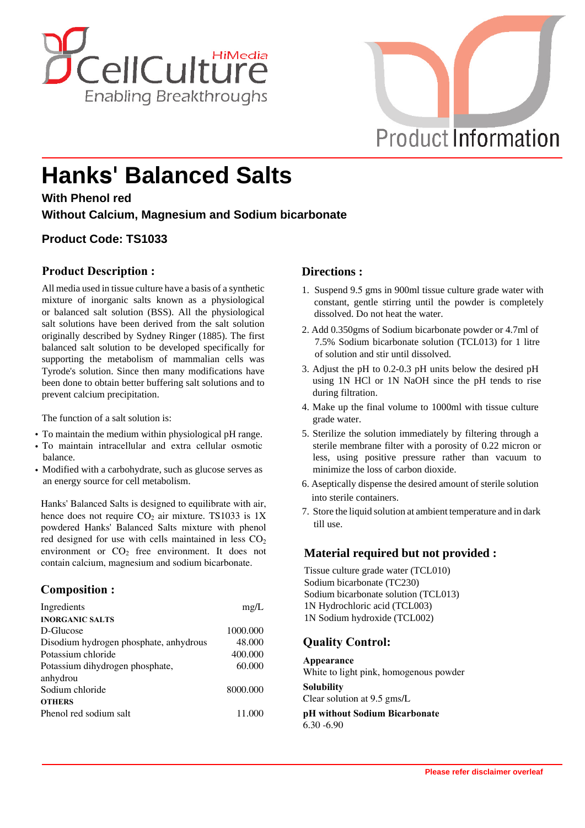



# **Hanks' Balanced Salts**

**With Phenol red**

**Without Calcium, Magnesium and Sodium bicarbonate**

## **Product Code: TS1033**

#### **Product Description :**

All media used in tissue culture have a basis of a synthetic mixture of inorganic salts known as a physiological or balanced salt solution (BSS). All the physiological salt solutions have been derived from the salt solution originally described by Sydney Ringer (1885). The first balanced salt solution to be developed specifically for supporting the metabolism of mammalian cells was Tyrode's solution. Since then many modifications have been done to obtain better buffering salt solutions and to prevent calcium precipitation.

The function of a salt solution is:

- **·** To maintain the medium within physiological pH range.
- **·** To maintain intracellular and extra cellular osmotic balance.
- **·** Modified with a carbohydrate, such as glucose serves as an energy source for cell metabolism.

Hanks' Balanced Salts is designed to equilibrate with air, hence does not require  $CO<sub>2</sub>$  air mixture. TS1033 is 1X powdered Hanks' Balanced Salts mixture with phenol red designed for use with cells maintained in less  $CO<sub>2</sub>$ environment or  $CO<sub>2</sub>$  free environment. It does not contain calcium, magnesium and sodium bicarbonate.

#### **Composition :**

| Ingredients                                 | mg/L     |
|---------------------------------------------|----------|
| <b>INORGANIC SALTS</b>                      |          |
| D-Glucose                                   | 1000.000 |
| Disodium hydrogen phosphate, anhydrous      | 48.000   |
| Potassium chloride                          | 400.000  |
| Potassium dihydrogen phosphate,<br>anhydrou | 60.000   |
| Sodium chloride                             | 8000.000 |
| <b>OTHERS</b>                               |          |
| Phenol red sodium salt                      | 11.000   |

#### **Directions :**

- 1. Suspend 9.5 gms in 900ml tissue culture grade water with constant, gentle stirring until the powder is completely dissolved. Do not heat the water.
- 2. Add 0.350gms of Sodium bicarbonate powder or 4.7ml of 7.5% Sodium bicarbonate solution (TCL013) for 1 litre of solution and stir until dissolved.
- 3. Adjust the pH to 0.2-0.3 pH units below the desired pH using 1N HCl or 1N NaOH since the pH tends to rise during filtration.
- 4. Make up the final volume to 1000ml with tissue culture grade water.
- 5. Sterilize the solution immediately by filtering through a sterile membrane filter with a porosity of 0.22 micron or less, using positive pressure rather than vacuum to minimize the loss of carbon dioxide.
- 6. Aseptically dispense the desired amount of sterile solution into sterile containers.
- 7. Store the liquid solution at ambient temperature and in dark till use.

#### **Material required but not provided :**

Tissue culture grade water (TCL010) Sodium bicarbonate (TC230) Sodium bicarbonate solution (TCL013) 1N Hydrochloric acid (TCL003) 1N Sodium hydroxide (TCL002)

## **Quality Control:**

**Appearance** White to light pink, homogenous powder **Solubility** Clear solution at 9.5 gms/L **pH without Sodium Bicarbonate**

6.30 -6.90